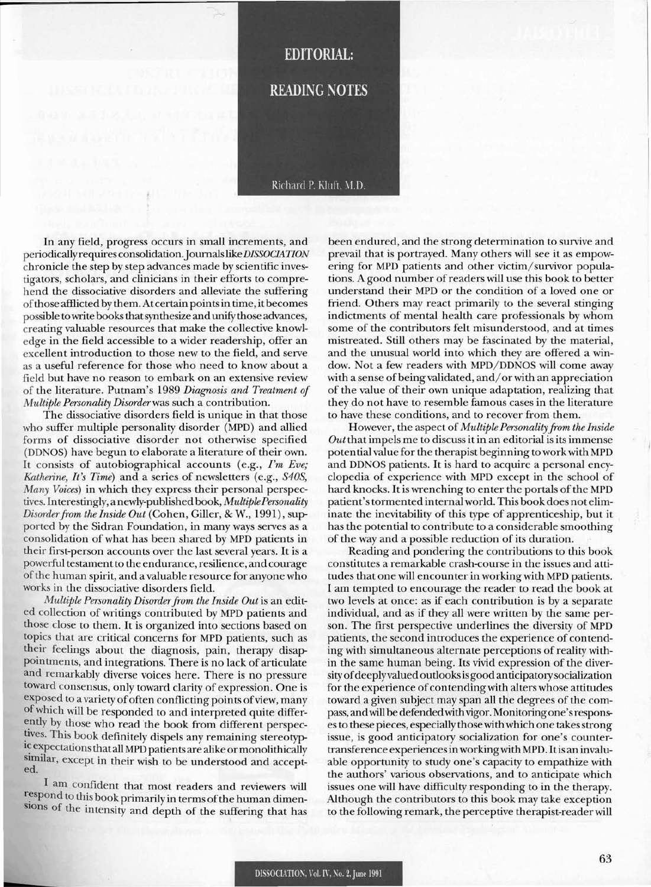# **EDITORIAL:**

**READING NOTES** 

#### Richard P. Kluft, M.D.

In any field, progress occurs in small increments, and periodically requires consolidation. Journals like DISSOCIATION chronicle the step by step advances made by scientific investigators, scholars, and clinicians in their efforts to comprehend the dissociative disorders and alleviate the suffering ofthose afflicted by them. At certain pointsin time, it becomes possible to write books that synthesize and unify those advances, creating valuable resources that make the collective knowledge in the field accessible to a wider readership, offer an excellent introduction to those new to the field, and serve as a useful reference for those who need to know about a field but have no reason to embark on an extensive review of the literature. Putnam's 1989 *Diagnosis and Treatment of Multiple Personality Disorder*was such a contribution.

The dissociative disorders field is unique in that those who suffer multiple personality disorder (MPD) and allied forms of dissociative disorder not otherwise specified (DDNOS) have begun to elaborate a literature of their own. It consists of autobiographical accounts (e.g., *I'm Eve; Katherine, It's Time)* and a series of newsletters (e.g., *S40S, Many Voices)* in which they express their personal perspectives. Interestingly, a newly-published book, *MultiplePersonality Disorder from the Inside Out* (Cohen, Giller, & W., 1991), supported by the Sidran Foundation, in many ways serves as a consolidation of what has been shared by MPD patients in their first-person accounts over the last several years. It is a powerful testament to the endurance, resilience, and courage ofthe human spirit, and a valuable resource for anyone who works in the dissociative disorders field.

*Multiple Personality Disorderfrom the Inside Out* is an edited collection of writings contributed by MPD patients and those close to them. It is organized into sections based on topics that are critical concerns for MPD patients, such as their feelings about the diagnosis, pain, therapy disappointments, and integrations. There is no lack of articulate and remarkably diverse voices here. There is no pressure toward consensus, only toward clarity of expression. One is exposed to a variety of often conflicting points of view, many ofwhich will be responded to and interpreted quite differ ently by those who read the book from different perspectives. This book definitely dispels any remaining stereotypic expectations that all MPD patients are alike or monolithically similar, except in their wish to be understood and accept-

I am confident that most readers and reviewers will respond to this book primarily in terms of the human dimensions of the intensity and depth of the suffering that has been endured, and the strong determination to survive and prevail that is portrayed. Many others will see it as empowering for MPD patients and other victim/survivor populations. A good number of readers will use this book to better understand their MPD or the condition of a loved one or friend. Others may react primarily to the several stinging indictments of mental health care professionals by whom some of the contributors felt misunderstood, and at times mistreated. Still others may be fascinated by the material, and the unusual world into which they are offered a window. Not a few readers with MPD/DDNOS will come away with a sense of being validated, and/or with an appreciation of the value of their own unique adaptation, realizing that they do not have to resemble famous cases in the literature to have these conditions, and to recover from them.

However, the aspect of *Multiple Personality from the Inside Out* that impels me to discuss it in an editorial is its immense potential value for the therapist beginning to work with MPD and DDNOS patients. It is hard to acquire a personal encyclopedia of experience with MPD except in the school of hard knocks. It is wrenching to enter the portals of the MPD patient'stormented internal world. This book does not eliminate the inevitability of this type of apprenticeship, but it has the potential to contribute to a considerable smoothing of the way and a possible reduction of its duration.

Reading and pondering the contributions to this book constitutes a remarkable crash-eourse in the issues and attitudes that one will encounter in working with MPD patients. I am tempted to encourage the reader to read the book at two levels at once: as if each contribution is by a separate individual, and as if they all were written by the same person. The first perspective underlines the diversity of MPD patients, the second introduces the experience of contending with simultaneous alternate perceptions of reality within the same human being. Its vivid expression of the diversity of deeply valued outlooks is good anticipatory socialization for the experience of contending with alters whose attitudes toward a given subject may span all the degrees of the compass, andwill be defendedwith vigor. Monitoring one'sresponsesto these pieces, especially thosewith which one takesstrong issue, is good anticipatory socialization for one's countertransference experiencesinworkingwith MPD. Itis an invaluable opportunity to study one's capacity to empathize with the authors' various observations, and to anticipate which issues one will have difficulty responding to in the therapy. Although the contributors to this book may take exception to the following remark, the perceptive therapist-reader will